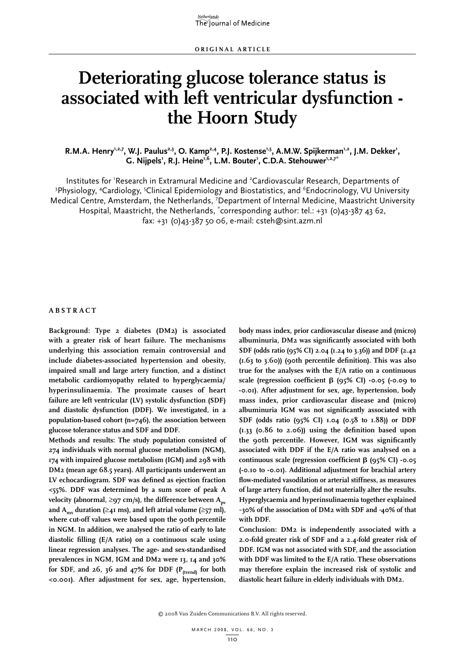# **Deteriorating glucose tolerance status is associated with left ventricular dysfunction the Hoorn Study**

R.M.A. Henry<sup>1,2,7</sup>, W.J. Paulus<sup>2,3</sup>, O. Kamp<sup>2,4</sup>, P.J. Kostense<sup>1,5</sup>, A.M.W. Spijkerman<sup>1,2</sup>, J.M. Dekker<sup>1</sup>, G. Nijpels<sup>1</sup>, R.J. Heine<sup>1,6</sup>, L.M. Bouter<sup>1</sup>, C.D.A. Stehouwer<sup>1,2,7\*</sup>

Institutes for 'Research in Extramural Medicine and <sup>2</sup>Cardiovascular Research, Departments of <sup>3</sup>Physiology, <sup>4</sup>Cardiology, <sup>5</sup>Clinical Epidemiology and Biostatistics, and <sup>6</sup>Endocrinology, VU University Medical Centre, Amsterdam, the Netherlands, <sup>7</sup>Department of Internal Medicine, Maastricht University Hospital, Maastricht, the Netherlands, \*corresponding author: tel.: +31 (0)43-387 43 62, fax: +31 (0)43-387 50 06, e-mail: csteh@sint.azm.nl

# **Abs t r act**

**Background: Type 2 diabetes (DM2) is associated with a greater risk of heart failure. The mechanisms underlying this association remain controversial and include diabetes-associated hypertension and obesity, impaired small and large artery function, and a distinct metabolic cardiomyopathy related to hyperglycaemia/ hyperinsulinaemia. The proximate causes of heart failure are left ventricular (LV) systolic dysfunction (SDF) and diastolic dysfunction (DDF). We investigated, in a population-based cohort (n=746), the association between glucose tolerance status and SDF and DDF.** 

**Methods and results: The study population consisted of 274 individuals with normal glucose metabolism (NGM), 174 with impaired glucose metabolism (IGM) and 298 with DM2 (mean age 68.5 years). All participants underwent an LV echocardiogram. SDF was defined as ejection fraction <55%. DDF was determined by a sum score of peak A velocity** (abnormal, ≥**97** cm/s), the difference between  $A_{nv}$ and  $A_{\text{max}}$  duration ( $\geq$ 41 ms), and left atrial volume ( $\geq$ 57 ml), **where cut-off values were based upon the 90th percentile in NGM. In addition, we analysed the ratio of early to late diastolic filling (E/A ratio) on a continuous scale using linear regression analyses. The age- and sex-standardised prevalences in NGM, IGM and DM2 were 13, 14 and 30%**  for SDF, and 26, 36 and 47% for DDF (P<sub>(trend)</sub> for both **<0.001). After adjustment for sex, age, hypertension,** 

**body mass index, prior cardiovascular disease and (micro) albuminuria, DM2 was significantly associated with both SDF (odds ratio (95% CI) 2.04 (1.24 to 3.36)) and DDF (2.42 (1.63 to 3.60)) (90th percentile definition). This was also true for the analyses with the E/A ratio on a continuous scale (regression coefficient** b **(95% CI) -0.05 (-0.09 to -0.01). After adjustment for sex, age, hypertension, body mass index, prior cardiovascular disease and (micro) albuminuria IGM was not significantly associated with SDF (odds ratio (95% CI) 1.04 (0.58 to 1.88)) or DDF (1.33 (0.86 to 2.06)) using the definition based upon the 90th percentile. However, IGM was significantly associated with DDF if the E/A ratio was analysed on a continuous scale (regression coefficient** b **(95% CI) -0.05 (-0.10 to -0.01). Additional adjustment for brachial artery flow-mediated vasodilation or arterial stiffness, as measures of large artery function, did not materially alter the results. Hyperglycaemia and hyperinsulinaemia together explained ~30% of the association of DM2 with SDF and ~ 40% of that with DDF.** 

**Conclusion: DM2 is independently associated with a 2.0-fold greater risk of SDF and a 2.4-fold greater risk of DDF. IGM was not associated with SDF, and the association with DDF was limited to the E/A ratio. These observations may therefore explain the increased risk of systolic and diastolic heart failure in elderly individuals with DM2.**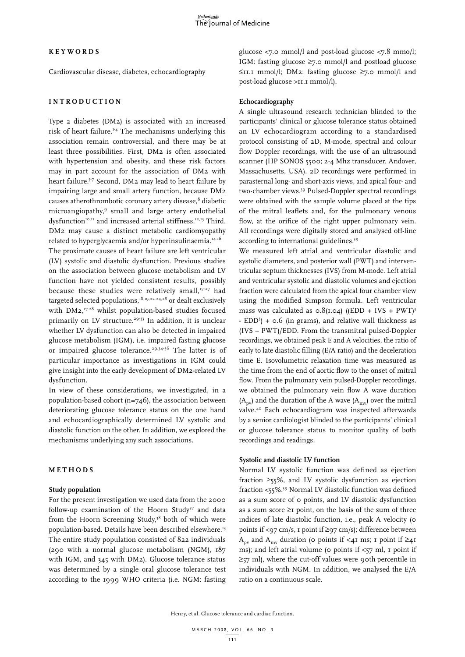## **K e y w ords**

Cardiovascular disease, diabetes, echocardiography

# **Int r o d uct i o n**

Type 2 diabetes (DM2) is associated with an increased risk of heart failure.<sup>1-4</sup> The mechanisms underlying this association remain controversial, and there may be at least three possibilities. First, DM2 is often associated with hypertension and obesity, and these risk factors may in part account for the association of DM2 with heart failure.<sup>5-7</sup> Second, DM2 may lead to heart failure by impairing large and small artery function, because DM2 causes atherothrombotic coronary artery disease,<sup>8</sup> diabetic microangiopathy,9 small and large artery endothelial dysfunction<sup>10,11</sup> and increased arterial stiffness.<sup>12,13</sup> Third, DM2 may cause a distinct metabolic cardiomyopathy related to hyperglycaemia and/or hyperinsulinaemia.<sup>14-16</sup> The proximate causes of heart failure are left ventricular (LV) systolic and diastolic dysfunction. Previous studies

on the association between glucose metabolism and LV function have not yielded consistent results, possibly because these studies were relatively small, $17-27$  had targeted selected populations, $18,19,22-24,28$  or dealt exclusively with  $DM2$ ,  $17-28$  whilst population-based studies focused primarily on LV structure.<sup>29-33</sup> In addition, it is unclear whether LV dysfunction can also be detected in impaired glucose metabolism (IGM), i.e. impaired fasting glucose or impaired glucose tolerance.<sup>29,34-36</sup> The latter is of particular importance as investigations in IGM could give insight into the early development of DM2-related LV dysfunction.

In view of these considerations, we investigated, in a population-based cohort (n=746), the association between deteriorating glucose tolerance status on the one hand and echocardiographically determined LV systolic and diastolic function on the other. In addition, we explored the mechanisms underlying any such associations.

# **M eth o d s**

#### **Study population**

For the present investigation we used data from the 2000 follow-up examination of the Hoorn Study<sup>37</sup> and data from the Hoorn Screening Study,<sup>38</sup> both of which were population-based. Details have been described elsewhere.<sup>13</sup> The entire study population consisted of 822 individuals (290 with a normal glucose metabolism (NGM), 187 with IGM, and 345 with DM2). Glucose tolerance status was determined by a single oral glucose tolerance test according to the 1999 WHO criteria (i.e. NGM: fasting glucose  $\langle 7.0 \text{ mmol/l} \rangle$  and post-load glucose  $\langle 7.8 \text{ mmol/l} \rangle$ ; IGM: fasting glucose ≥7.0 mmol/l and postload glucose ≤11.1 mmol/l; DM2: fasting glucose ≥7.0 mmol/l and post-load glucose >11.1 mmol/l).

## **Echocardiography**

A single ultrasound research technician blinded to the participants' clinical or glucose tolerance status obtained an LV echocardiogram according to a standardised protocol consisting of 2D, M-mode, spectral and colour flow Doppler recordings, with the use of an ultrasound scanner (HP SONOS 5500; 2-4 Mhz transducer, Andover, Massachusetts, USA). 2D recordings were performed in parasternal long- and short-axis views, and apical four- and two-chamber views.39 Pulsed-Doppler spectral recordings were obtained with the sample volume placed at the tips of the mitral leaflets and, for the pulmonary venous flow, at the orifice of the right upper pulmonary vein. All recordings were digitally stored and analysed off-line according to international guidelines.39

We measured left atrial and ventricular diastolic and systolic diameters, and posterior wall (PWT) and interventricular septum thicknesses (IVS) from M-mode. Left atrial and ventricular systolic and diastolic volumes and ejection fraction were calculated from the apical four chamber view using the modified Simpson formula. Left ventricular mass was calculated as  $o.8(1.04)$  ((EDD + IVS + PWT)<sup>3</sup> - EDD3 ) + 0.6 (in grams), and relative wall thickness as (IVS + PWT)/EDD. From the transmitral pulsed-Doppler recordings, we obtained peak E and A velocities, the ratio of early to late diastolic filling (E/A ratio) and the deceleration time E. Isovolumetric relaxation time was measured as the time from the end of aortic flow to the onset of mitral flow. From the pulmonary vein pulsed-Doppler recordings, we obtained the pulmonary vein flow A wave duration  $(A_{\text{pv}})$  and the duration of the A wave  $(A_{\text{mv}})$  over the mitral valve.40 Each echocardiogram was inspected afterwards by a senior cardiologist blinded to the participants' clinical or glucose tolerance status to monitor quality of both recordings and readings.

# **Systolic and diastolic LV function**

Normal LV systolic function was defined as ejection fraction  $\geq$ 55%, and LV systolic dysfunction as ejection fraction <55%.39 Normal LV diastolic function was defined as a sum score of 0 points, and LV diastolic dysfunction as a sum score  $\geq$ I point, on the basis of the sum of three indices of late diastolic function, i.e., peak A velocity (0 points if <97 cm/s, 1 point if  $\geq$ 97 cm/s); difference between A<sub>pv</sub> and A<sub>mv</sub> duration (0 points if <41 ms; 1 point if ≥41 ms); and left atrial volume ( $\circ$  points if <57 ml, 1 point if  $\geq$ 57 ml), where the cut-off values were 90th percentile in individuals with NGM. In addition, we analysed the E/A ratio on a continuous scale.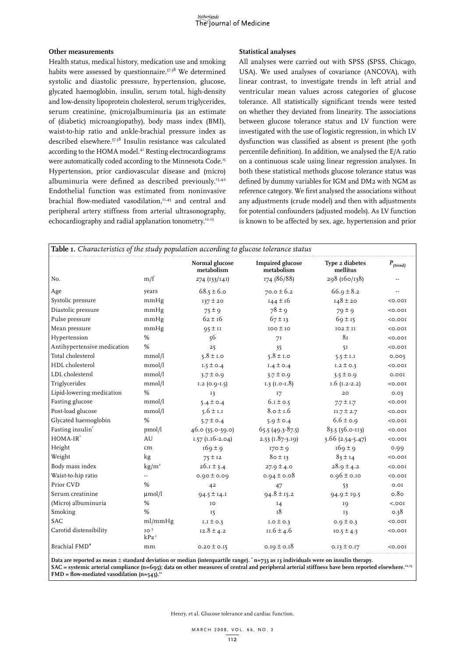## **Other measurements**

Health status, medical history, medication use and smoking habits were assessed by questionnaire.<sup>37,38</sup> We determined systolic and diastolic pressure, hypertension, glucose, glycated haemoglobin, insulin, serum total, high-density and low-density lipoprotein cholesterol, serum triglycerides, serum creatinine, (micro)albuminuria (as an estimate of (diabetic) microangiopathy), body mass index (BMI), waist-to-hip ratio and ankle-brachial pressure index as described elsewhere.37,38 Insulin resistance was calculated according to the HOMA model.<sup>41</sup> Resting electrocardiograms were automatically coded according to the Minnesota Code.<sup>15</sup> Hypertension, prior cardiovascular disease and (micro) albuminuria were defined as described previously.<sup>13,42</sup> Endothelial function was estimated from noninvasive brachial flow-mediated vasodilation,<sup>11,43</sup> and central and peripheral artery stiffness from arterial ultrasonography, echocardiography and radial applanation tonometry.<sup>12,13</sup>

## **Statistical analyses**

All analyses were carried out with SPSS (SPSS, Chicago, USA). We used analyses of covariance (ANCOVA), with linear contrast, to investigate trends in left atrial and ventricular mean values across categories of glucose tolerance. All statistically significant trends were tested on whether they deviated from linearity. The associations between glucose tolerance status and LV function were investigated with the use of logistic regression, in which LV dysfunction was classified as absent *vs* present (the 90th percentile definition). In addition, we analysed the E/A ratio on a continuous scale using linear regression analyses. In both these statistical methods glucose tolerance status was defined by dummy variables for IGM and DM2 with NGM as reference category. We first analysed the associations without any adjustments (crude model) and then with adjustments for potential confounders (adjusted models). As LV function is known to be affected by sex, age, hypertension and prior

| Table 1. Characteristics of the study population according to glucose tolerance status |                         |                              |                                       |                             |               |  |  |
|----------------------------------------------------------------------------------------|-------------------------|------------------------------|---------------------------------------|-----------------------------|---------------|--|--|
|                                                                                        |                         | Normal glucose<br>metabolism | <b>Impaired glucose</b><br>metabolism | Type 2 diabetes<br>mellitus | $P_{(trend)}$ |  |  |
| No.                                                                                    | m/f                     | 274 (133/141)                | 174 (86/88)                           | 298 (160/138)               |               |  |  |
| Age                                                                                    | years                   | $68.5 \pm 6.0$               | $70.0 \pm 6.2$                        | $66.9 \pm 8.2$              |               |  |  |
| Systolic pressure                                                                      | mmHg                    | $137 \pm 20$                 | $144 \pm 16$                          | $148 \pm 20$                | < 0.001       |  |  |
| Diastolic pressure                                                                     | mmHg                    | $75 \pm 9$                   | $78 \pm 9$                            | $79 \pm 9$                  | < 0.001       |  |  |
| Pulse pressure                                                                         | mmHg                    | $62 + 16$                    | $67 \pm 13$                           | $69 \pm 15$                 | < 0.001       |  |  |
| Mean pressure                                                                          | mmHg                    | $95 \pm 11$                  | $100 \pm 10$                          | $102 \pm 11$                | < 0.001       |  |  |
| Hypertension                                                                           | %                       | 56                           | 71                                    | 8 <sub>T</sub>              | < 0.001       |  |  |
| Antihypertensive medication                                                            | %                       | 25                           | 35                                    | 51                          | < 0.001       |  |  |
| Total cholesterol                                                                      | mmol/l                  | $5.8 \pm 1.0$                | $5.8 \pm 1.0$                         | $5.5 \pm 1.1$               | 0.003         |  |  |
| HDL cholesterol                                                                        | mmol/l                  | $1.5 \pm 0.4$                | $1.4 \pm 0.4$                         | $I.2 \pm 0.3$               | < 0.001       |  |  |
| LDL cholesterol                                                                        | mmol/l                  | $3.7 \pm 0.9$                | $3.7 \pm 0.9$                         | $3.5 \pm 0.9$               | 0.00I         |  |  |
| Triglycerides                                                                          | mmol/l                  | $I.2$ (0.9-1.5)              | $1.3$ (1.0-1.8)                       | $I.6$ ( $I.2-2.2$ )         | < 0.001       |  |  |
| Lipid-lowering medication                                                              | %                       | 13                           | I7                                    | 20                          | 0.03          |  |  |
| Fasting glucose                                                                        | mmol/l                  | $5.4 \pm 0.4$                | $6.1 \pm 0.5$                         | $7.7 \pm 1.7$               | < 0.001       |  |  |
| Post-load glucose                                                                      | mmol/l                  | $5.6 \pm 1.1$                | $8.0 \pm 1.6$                         | $11.7 \pm 2.7$              | < 0.001       |  |  |
| Glycated haemoglobin                                                                   | %                       | $5.7 \pm 0.4$                | $5.9 \pm 0.4$                         | $6.6 \pm 0.9$               | < 0.001       |  |  |
| Fasting insulin*                                                                       | pmol/l                  | $46.0(35.0-59.0)$            | $65.5(49.3-87.5)$                     | 83.5 (56.0-113)             | < 0.001       |  |  |
| $HOMA-IR^*$                                                                            | AU                      | $1.57$ (1.16-2.04)           | $2.53$ (1.87-3.19)                    | $3.66$ (2.54-5.47)          | < 0.001       |  |  |
| Height                                                                                 | cm                      | $169 \pm 9$                  | $170 \pm 9$                           | $169 \pm 9$                 | 0.99          |  |  |
| Weight                                                                                 | kg                      | $75 \pm 12$                  | $80 \pm 13$                           | $83 \pm 14$                 | < 0.001       |  |  |
| Body mass index                                                                        | $\text{kg/m}^2$         | $26.1 \pm 3.4$               | $27.9 \pm 4.0$                        | $28.9 \pm 4.2$              | < 0.001       |  |  |
| Waist-to-hip ratio                                                                     |                         | $0.90 \pm 0.09$              | $0.94 \pm 0.08$                       | $0.96 \pm 0.10$             | < 0.001       |  |  |
| Prior CVD                                                                              | %                       | 42                           | 47                                    | 53                          | 0.01          |  |  |
| Serum creatinine                                                                       | $\mu$ mol/l             | $94.5 \pm 14.1$              | $94.8 \pm 15.2$                       | $94.9 \pm 19.5$             | 0.80          |  |  |
| (Micro) albuminuria                                                                    | %                       | IO                           | 14                                    | IQ                          | < .001        |  |  |
| Smoking                                                                                | %                       | 15                           | T <sub>8</sub>                        | I3                          | 0.38          |  |  |
| <b>SAC</b>                                                                             | ml/mmHg                 | $I.I \pm 0.3$                | $I.O \pm O.3$                         | 0.9 $\pm$ 0.3               | 50.001        |  |  |
| Carotid distensibility                                                                 | $IO^{-3}$<br>$kPa^{-1}$ | $12.8 \pm 4.2$               | $11.6 \pm 4.6$                        | $10.5 \pm 4.3$              | 50.001        |  |  |
| Brachial FMD <sup>#</sup>                                                              | mm                      | $0.20 \pm 0.15$              | 0.19 $\pm$ 0.18                       | $0.13 \pm 0.17$             | < 0.001       |  |  |

**Data are reported as mean** ± **standard deviation or median (interquartile range). \* n=733 as 13 individuals were on insulin therapy. SAC = systemic arterial compliance (n=695); data on other measures of central and peripheral arterial stiffness have been reported elsewhere.12,13 FMD** = flow-mediated vasodilation  $(n=543)$ .<sup>1</sup>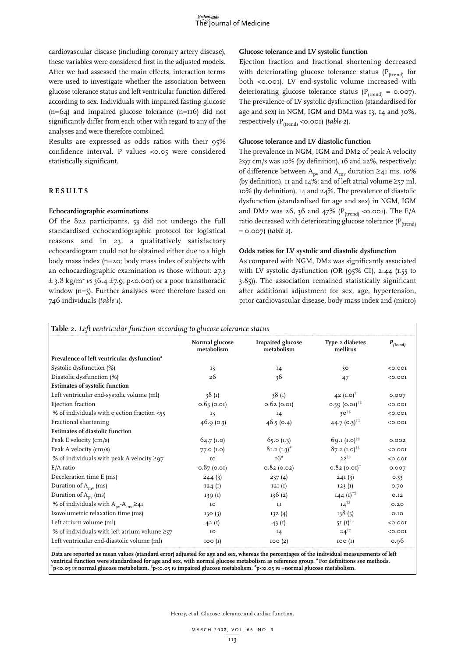cardiovascular disease (including coronary artery disease), these variables were considered first in the adjusted models. After we had assessed the main effects, interaction terms were used to investigate whether the association between glucose tolerance status and left ventricular function differed according to sex. Individuals with impaired fasting glucose (n=64) and impaired glucose tolerance (n=116) did not significantly differ from each other with regard to any of the analyses and were therefore combined.

Results are expressed as odds ratios with their 95% confidence interval. P values <0.05 were considered statistically significant.

# **Re s u l t s**

## **Echocardiographic examinations**

Of the 822 participants, 53 did not undergo the full standardised echocardiographic protocol for logistical reasons and in 23, a qualitatively satisfactory echocardiogram could not be obtained either due to a high body mass index (n=20; body mass index of subjects with an echocardiographic examination *vs* those without: 27.3  $\pm$  3.8 kg/m<sup>2</sup> *vs* 36.4  $\pm$ 7.9; p<0.001) or a poor transthoracic window (n=3). Further analyses were therefore based on 746 individuals (*table 1*).

# **Glucose tolerance and LV systolic function**

Ejection fraction and fractional shortening decreased with deteriorating glucose tolerance status ( $P_{(trend)}$  for both <0.001). LV end-systolic volume increased with deteriorating glucose tolerance status ( $P_{(trend)} = 0.007$ ). The prevalence of LV systolic dysfunction (standardised for age and sex) in NGM, IGM and DM2 was 13, 14 and 30%, respectively (P(trend) <0.001) (*table 2*).

# **Glucose tolerance and LV diastolic function**

The prevalence in NGM, IGM and DM2 of peak A velocity ≥97 cm/s was 10% (by definition), 16 and 22%, respectively; of difference between  $A_{\text{pv}}$  and  $A_{\text{mv}}$  duration ≥41 ms, 10% (by definition), 11 and 14%; and of left atrial volume  $\geq$ 57 ml, 10% (by definition), 14 and 24%. The prevalence of diastolic dysfunction (standardised for age and sex) in NGM, IGM and DM2 was 26, 36 and 47% ( $P_{(trend)}$  <0.001). The E/A ratio decreased with deteriorating glucose tolerance ( $P_{(trend)}$ ) = 0.007) (*table 2*).

# **Odds ratios for LV systolic and diastolic dysfunction**

As compared with NGM, DM2 was significantly associated with LV systolic dysfunction (OR (95% CI), 2.44 (1.55 to 3.85)). The association remained statistically significant after additional adjustment for sex, age, hypertension, prior cardiovascular disease, body mass index and (micro)

| Table 2. Left ventricular function according to glucose tolerance status                                                                                                                                                                                                                         |                              |                                       |                                |               |  |  |
|--------------------------------------------------------------------------------------------------------------------------------------------------------------------------------------------------------------------------------------------------------------------------------------------------|------------------------------|---------------------------------------|--------------------------------|---------------|--|--|
|                                                                                                                                                                                                                                                                                                  | Normal glucose<br>metabolism | <b>Impaired glucose</b><br>metabolism | Type 2 diabetes<br>mellitus    | $P_{(trend)}$ |  |  |
| Prevalence of left ventricular dysfunction <sup>a</sup>                                                                                                                                                                                                                                          |                              |                                       |                                |               |  |  |
| Systolic dysfunction (%)                                                                                                                                                                                                                                                                         | 13                           | $I_4$                                 | 30                             | < 0.001       |  |  |
| Diastolic dysfunction (%)                                                                                                                                                                                                                                                                        | 26                           | 36                                    | 47                             | 50.001        |  |  |
| <b>Estimates of systolic function</b>                                                                                                                                                                                                                                                            |                              |                                       |                                |               |  |  |
| Left ventricular end-systolic volume (ml)                                                                                                                                                                                                                                                        | 38(1)                        | 38(1)                                 | 42 $(I.0)^{\dagger}$           | 0.007         |  |  |
| Ejection fraction                                                                                                                                                                                                                                                                                | 0.63(0.01)                   | $0.62$ (0.01)                         | $0.59$ (0.01) <sup>†‡</sup>    | 100.00        |  |  |
| % of individuals with ejection fraction $<$ 55                                                                                                                                                                                                                                                   | 13                           | <b>14</b>                             | $30^{\dagger\ddagger}$         | < 0.001       |  |  |
| Fractional shortening                                                                                                                                                                                                                                                                            | 46.9(0.3)                    | 46.5(0.4)                             | 44.7 $(0.3)$ <sup>†‡</sup>     | 50.001        |  |  |
| <b>Estimates of diastolic function</b>                                                                                                                                                                                                                                                           |                              |                                       |                                |               |  |  |
| Peak E velocity (cm/s)                                                                                                                                                                                                                                                                           | $64.7$ (i.o)                 | 65.0 (1.3)                            | 69.1 $(I.0)^{\dagger\ddagger}$ | 0.002         |  |  |
| Peak A velocity (cm/s)                                                                                                                                                                                                                                                                           | $77.0$ $(1.0)$               | $81.2 (1.3)^{#}$                      | $87.2 (1.0)^{++}$              | 50.001        |  |  |
| % of individuals with peak A velocity $\geq$ 97                                                                                                                                                                                                                                                  | IO                           | $T6$ <sup>#</sup>                     | $22^{11}$                      | 100.00        |  |  |
| E/A ratio                                                                                                                                                                                                                                                                                        | $0.87$ (0.01)                | $0.82$ (0.02)                         | $0.82$ (0.01) <sup>†</sup>     | 0.007         |  |  |
| Deceleration time E (ms)                                                                                                                                                                                                                                                                         | 244(3)                       | 237(4)                                | 24I(3)                         | 0.53          |  |  |
| Duration of A <sub>my</sub> (ms)                                                                                                                                                                                                                                                                 | 124(1)                       | I2I(I)                                | 123(1)                         | 0.70          |  |  |
| Duration of A <sub>pv</sub> (ms)                                                                                                                                                                                                                                                                 | 139(1)                       | 136(2)                                | $144 (1)$ <sup>11</sup>        | O.I2          |  |  |
| % of individuals with $A_{\text{pv}}$ - $A_{\text{mv}} \geq 4$ <sup>I</sup>                                                                                                                                                                                                                      | IO                           | II                                    | $14^{11}$                      | 0.20          |  |  |
| Isovolumetric relaxation time (ms)                                                                                                                                                                                                                                                               | 130(3)                       | 132(4)                                | 138(3)                         | 0.10          |  |  |
| Left atrium volume (ml)                                                                                                                                                                                                                                                                          | 42(1)                        | 43 $(I)$                              | 51 $(I)^{11}$                  | < 0.001       |  |  |
| % of individuals with left atrium volume $\geq 57$                                                                                                                                                                                                                                               | IO                           | $I_4$                                 | $24^{11}$                      | 50.001        |  |  |
| Left ventricular end-diastolic volume (ml)                                                                                                                                                                                                                                                       | IOO(I)                       | IOO(2)                                | IOO(I)                         | 0.96          |  |  |
| Data are reported as mean values (standard error) adjusted for age and sex, whereas the percentages of the individual measurements of left<br>ventrical function were standardised for age and sex, with normal glucose metabolism as reference group, <sup>a</sup> For definitions see methods, |                              |                                       |                                |               |  |  |

**p<0.05** *vs* **normal glucose metabolism. ‡ p<0.05** *vs* **impaired glucose metabolism. # p<0.05** *vs* **=normal glucose metabolism.**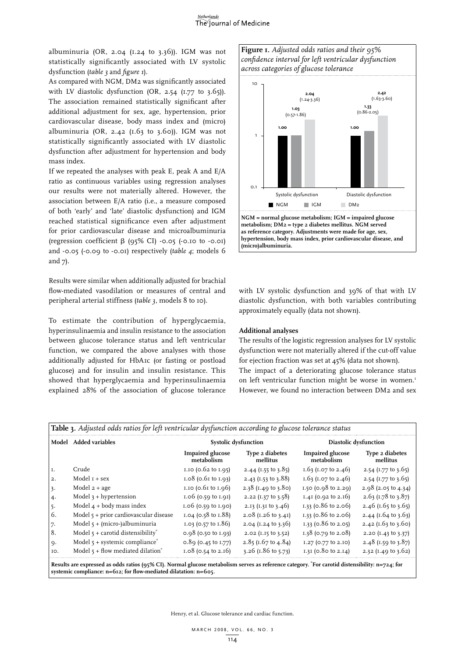#### Netherlands The Journal of Medicine

albuminuria (OR, 2.04 (1.24 to 3.36)). IGM was not statistically significantly associated with LV systolic dysfunction (*table 3* and *figure 1*).

As compared with NGM, DM2 was significantly associated with LV diastolic dysfunction  $(OR, 2.54 (1.77 to 3.65)).$ The association remained statistically significant after additional adjustment for sex, age, hypertension, prior cardiovascular disease, body mass index and (micro) albuminuria (OR, 2.42 ( $1.63$  to  $3.60$ )). IGM was not statistically significantly associated with LV diastolic dysfunction after adjustment for hypertension and body mass index.

If we repeated the analyses with peak E, peak A and E/A ratio as continuous variables using regression analyses our results were not materially altered. However, the association between E/A ratio (i.e., a measure composed of both 'early' and 'late' diastolic dysfunction) and IGM reached statistical significance even after adjustment for prior cardiovascular disease and microalbuminuria (regression coefficient  $\beta$  (95% CI) -0.05 (-0.10 to -0.01) and -0.05 (-0.09 to -0.01) respectively (*table 4*; models 6 and 7).

Results were similar when additionally adjusted for brachial flow-mediated vasodilation or measures of central and peripheral arterial stiffness (*table 3*, models 8 to 10).

To estimate the contribution of hyperglycaemia, hyperinsulinaemia and insulin resistance to the association between glucose tolerance status and left ventricular function, we compared the above analyses with those additionally adjusted for HbA1c (or fasting or postload glucose) and for insulin and insulin resistance. This showed that hyperglycaemia and hyperinsulinaemia explained 28% of the association of glucose tolerance





**metabolism; DM2 = type 2 diabetes mellitus. NGM served as reference category. Adjustments were made for age, sex, hypertension, body mass index, prior cardiovascular disease, and (micro)albuminuria.**

with LV systolic dysfunction and 39% of that with LV diastolic dysfunction, with both variables contributing approximately equally (data not shown).

# **Additional analyses**

The results of the logistic regression analyses for LV systolic dysfunction were not materially altered if the cut-off value for ejection fraction was set at 45% (data not shown). The impact of a deteriorating glucose tolerance status on left ventricular function might be worse in women.<sup>1</sup> However, we found no interaction between DM2 and sex

|  |  |  | <b>Table 3.</b> Adjusted odds ratios for left ventricular dysfunction according to glucose tolerance status |
|--|--|--|-------------------------------------------------------------------------------------------------------------|
|  |  |  |                                                                                                             |

|                  | Model Added variables                                                                                                                                |                                       | <b>Systolic dysfunction</b>    | Diastolic dysfunction                 |                                |  |
|------------------|------------------------------------------------------------------------------------------------------------------------------------------------------|---------------------------------------|--------------------------------|---------------------------------------|--------------------------------|--|
|                  |                                                                                                                                                      | <b>Impaired glucose</b><br>metabolism | Type 2 diabetes<br>mellitus    | <b>Impaired glucose</b><br>metabolism | Type 2 diabetes<br>mellitus    |  |
| Ι.               | Crude                                                                                                                                                | I.IO (0.62 to I.95)                   | 2.44 (1.55 to 3.85)            | 1.63 (1.07 to 2.46)                   | 2.54 (1.77 to 3.65)            |  |
| $\overline{2}$ . | Model $I + sex$                                                                                                                                      | $1.08$ (0.6 $1$ to $1.93$ )           | 2.43 (1.53 to 3.88)            | 1.63 (1.07 to 2.46)                   | 2.54 (1.77 to 3.65)            |  |
| 3.               | Model $2 + age$                                                                                                                                      | 1.10 (0.61 to 1.96)                   | 2.38 $(I.49 \text{ to } 3.80)$ | 1.50 ( $0.98$ to $2.29$ )             | $2.98$ (2.05 to 4.34)          |  |
| 4.               | Model $3 + hyp$ ertension                                                                                                                            | $1.06$ (0.59 to $1.91$ )              | 2.22 (1.37 to 3.58)            | $1.41$ (0.92 to 2.16)                 | $2.63$ (1.78 to 3.87)          |  |
| $5 -$            | Model $4 +$ body mass index                                                                                                                          | $1.06$ (0.59 to $1.90$ )              | 2.13 (1.31 to 3.46)            | 1.33 ( $0.86$ to 2.06)                | 2.46 (1.65 to 3.65)            |  |
| 6.               | Model $5 +$ prior cardiovascular disease                                                                                                             | 1.04 (0.58 to 1.88)                   | 2.08 (1.26 to 3.41)            | 1.33 ( $0.86$ to 2.06)                | 2.44 (1.64 to 3.63)            |  |
| 7.               | Model $5 + (micro-)albuminuria$                                                                                                                      | $1.03$ (0.57 to $1.86$ )              | 2.04 (1.24 to 3.36)            | 1.33 ( $0.86$ to 2.05)                | 2.42 (1.63 to 3.60)            |  |
| 8.               | Model $\zeta$ + carotid distensibility*                                                                                                              | $0.98$ (0.50 to 1.93)                 | 2.02 (I.I5 to 3.52)            | 1.38 (0.79 to 2.08)                   | 2.20 $(I.43 \text{ to } 3.37)$ |  |
| q.               | Model $\zeta$ + systemic compliance <sup>*</sup>                                                                                                     | $0.89$ (0.45 to 1.77)                 | 2.85 (1.67 to 4.84)            | 1.27 (0.77 to 2.10)                   | 2.48 (1.59 to 3.87)            |  |
| IO.              | Model $\zeta$ + flow mediated dilation <sup>*</sup>                                                                                                  | $1.08$ (0.54 to 2.16)                 | 3.26 (1.86 to 5.73)            | $I.3I$ (0.80 to 2.14)                 | 2.32 (1.49 to 3.62)            |  |
|                  | Results are expressed as odds ratios ( $95\%$ CI). Normal glucose metabolism serves as reference category. For carotid distensibility: $n=724$ ; for |                                       |                                |                                       |                                |  |

**systemic compliance: n=612; for flow-mediated dilatation: n=605.**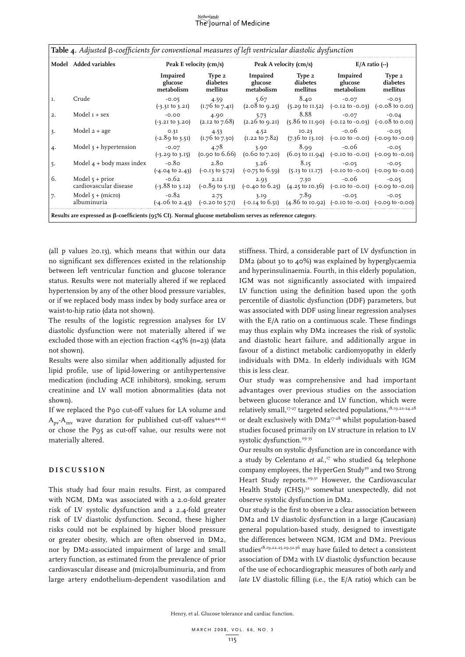#### <u>Netherlands</u> The Journal of Medicine

|    | Model Added variables                       | Peak E velocity (cm/s)                   |                                                               | Peak A velocity (cm/s)                                      |                                                                                                                                                                             | $E/A$ ratio $(-)$                                                                             |                                                                   |
|----|---------------------------------------------|------------------------------------------|---------------------------------------------------------------|-------------------------------------------------------------|-----------------------------------------------------------------------------------------------------------------------------------------------------------------------------|-----------------------------------------------------------------------------------------------|-------------------------------------------------------------------|
|    |                                             | <b>Impaired</b><br>glucose<br>metabolism | Type 2<br>diabetes<br>mellitus                                | <b>Impaired</b><br>glucose<br>metabolism                    | Type 2<br>diabetes<br>mellitus                                                                                                                                              | <b>Impaired</b><br>glucose<br>metabolism                                                      | Type 2<br>diabetes<br>mellitus                                    |
| Ι. | Crude                                       | $-0.05$<br>$(-3.31 \text{ to } 3.21)$    | 4.59<br>$(1.76 \text{ to } 7.41)$                             | 5.67<br>$(2.08 \text{ to } 9.25)$                           | 8.40<br>$(5.29 \text{ to } II.52)$                                                                                                                                          | $-0.07$                                                                                       | $-0.03$<br>$(-0.12 \text{ to } -0.03)$ $(-0.08 \text{ to } 0.01)$ |
| 2. | Model $I + sex$                             | $-0.00$<br>$(-3.21 \text{ to } 3.20)$    | 4.90<br>$(2.12 \text{ to } 7.68)$                             | 5.73<br>$(2.26 \text{ to } 9.21)$                           | 8.88<br>$(5.86 \text{ to } II.90)$                                                                                                                                          | $-0.07$<br>$(-0.12 \text{ to } -0.03)$                                                        | $-0.04$<br>$(-0.08 \text{ to } 0.01)$                             |
| 3. | Model $2 + age$                             | O.3I<br>$(-2.89 \text{ to } 3.51)$       | 4.53<br>$(1.76 \text{ to } 7.30)$                             | 4.52<br>$(1.22 \text{ to } 7.82)$                           | IO.23<br>$(7.36 \text{ to } 13.10)$                                                                                                                                         | $-0.06$<br>$(-0.10 \text{ to } -0.01)$ $(-0.00 \text{ to } -0.01)$                            | $-0.05$                                                           |
| 4. | Model $3 + hyp$ ertension                   | $-0.07$<br>$(-3.29 \text{ to } 3.15)$    | 4.78                                                          | 3.90<br>$(0.90 \text{ to } 6.66)$ $(0.60 \text{ to } 7.20)$ | 8.99<br>$(6.03 \text{ to } II.94)$                                                                                                                                          | $-0.06$<br>$(-0.10 \text{ to } -0.01)$ $(-0.00 \text{ to } -0.01)$                            | $-0.05$                                                           |
| 5. | Model $4 +$ body mass index                 | $-0.80$                                  | 2.80<br>$(-4.04 \text{ to } 2.43)$ $(-0.13 \text{ to } 5.72)$ | 3.26<br>(-0.75 to 6.59)                                     | 8.15                                                                                                                                                                        | $-0.05$<br>$(5.13 \text{ to } 11.17)$ $(-0.10 \text{ to } -0.01)$ $(-0.00 \text{ to } -0.01)$ | $-0.05$                                                           |
| 6. | Model $5 + prior$<br>cardiovascular disease | $-0.62$<br>$(-3.88 \text{ to } 3.12)$    | 2.12<br>$(-0.89 \text{ to } 5.13)$                            | 2.93                                                        | 7.30<br>$(-0.40 \text{ to } 6.25)$ $(4.25 \text{ to } 10.36)$                                                                                                               | $-0.06$<br>$(-0.10 \text{ to } -0.01)$ $(-0.00 \text{ to } -0.01)$                            | $-0.05$                                                           |
| 7. | Model $5 + (micro)$<br>albuminuria          | $-0.82$                                  | 2.75                                                          | 3.19                                                        | 7.89<br>$(-4.06 \text{ to } 2.43)$ $(-0.20 \text{ to } 5.71)$ $(-0.14 \text{ to } 6.51)$ $(4.86 \text{ to } 10.92)$ $(-0.10 \text{ to } -0.01)$ $(-0.00 \text{ to } -0.00)$ | $-0.05$                                                                                       | $-0.05$                                                           |

(all p values  $\geq 0.13$ ), which means that within our data no significant sex differences existed in the relationship between left ventricular function and glucose tolerance status. Results were not materially altered if we replaced hypertension by any of the other blood pressure variables, or if we replaced body mass index by body surface area or waist-to-hip ratio (data not shown).

The results of the logistic regression analyses for LV diastolic dysfunction were not materially altered if we excluded those with an ejection fraction <45% (n=23) (data not shown).

Results were also similar when additionally adjusted for lipid profile, use of lipid-lowering or antihypertensive medication (including ACE inhibitors), smoking, serum creatinine and LV wall motion abnormalities (data not shown).

If we replaced the P90 cut-off values for LA volume and  $A_{\text{pv}}-A_{\text{mv}}$  wave duration for published cut-off values<sup>44,45</sup> or chose the P95 as cut-off value, our results were not materially altered.

# **D i s cu ssio n**

This study had four main results. First, as compared with NGM, DM2 was associated with a 2.0-fold greater risk of LV systolic dysfunction and a 2.4-fold greater risk of LV diastolic dysfunction. Second, these higher risks could not be explained by higher blood pressure or greater obesity, which are often observed in DM2, nor by DM2-associated impairment of large and small artery function, as estimated from the prevalence of prior cardiovascular disease and (micro)albuminuria, and from large artery endothelium-dependent vasodilation and stiffness. Third, a considerable part of LV dysfunction in DM2 (about 30 to 40%) was explained by hyperglycaemia and hyperinsulinaemia. Fourth, in this elderly population, IGM was not significantly associated with impaired LV function using the definition based upon the 90th percentile of diastolic dysfunction (DDF) parameters, but was associated with DDF using linear regression analyses with the E/A ratio on a continuous scale. These findings may thus explain why DM2 increases the risk of systolic and diastolic heart failure, and additionally argue in favour of a distinct metabolic cardiomyopathy in elderly individuals with DM2. In elderly individuals with IGM this is less clear.

Our study was comprehensive and had important advantages over previous studies on the association between glucose tolerance and LV function, which were relatively small,<sup>17-27</sup> targeted selected populations,<sup>18,19,22-24,28</sup> or dealt exclusively with DM217-28 whilst population-based studies focused primarily on LV structure in relation to LV systolic dysfunction.<sup>29-33</sup>

Our results on systolic dysfunction are in concordance with a study by Celentano et al.,<sup>17</sup> who studied 64 telephone company employees, the HyperGen Study<sup>30</sup> and two Strong Heart Study reports.<sup>29,31</sup> However, the Cardiovascular Health Study (CHS),<sup>32</sup> somewhat unexpectedly, did not observe systolic dysfunction in DM2.

Our study is the first to observe a clear association between DM2 and LV diastolic dysfunction in a large (Caucasian) general population-based study, designed to investigate the differences between NGM, IGM and DM2. Previous studies<sup>18,19,22,25,29,32,36</sup> may have failed to detect a consistent association of DM2 with LV diastolic dysfunction because of the use of echocardiographic measures of both *early* and *late* LV diastolic filling (i.e., the E/A ratio) which can be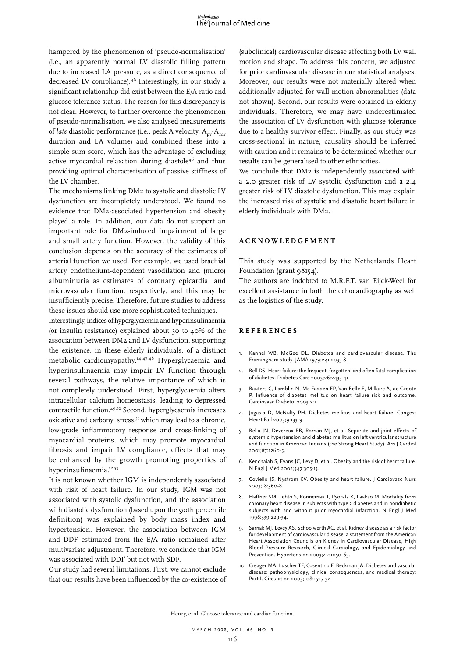hampered by the phenomenon of 'pseudo-normalisation' (i.e., an apparently normal LV diastolic filling pattern due to increased LA pressure, as a direct consequence of decreased LV compliance).46 Interestingly, in our study a significant relationship did exist between the E/A ratio and glucose tolerance status. The reason for this discrepancy is not clear. However, to further overcome the phenomenon of pseudo-normalisation, we also analysed measurements of *late* diastolic performance (i.e., peak A velocity, A<sub>nv</sub>-A<sub>mv</sub> duration and LA volume) and combined these into a simple sum score, which has the advantage of excluding active myocardial relaxation during diastole<sup>46</sup> and thus providing optimal characterisation of passive stiffness of the LV chamber.

The mechanisms linking DM2 to systolic and diastolic LV dysfunction are incompletely understood. We found no evidence that DM2-associated hypertension and obesity played a role. In addition, our data do not support an important role for DM2-induced impairment of large and small artery function. However, the validity of this conclusion depends on the accuracy of the estimates of arterial function we used. For example, we used brachial artery endothelium-dependent vasodilation and (micro) albuminuria as estimates of coronary epicardial and microvascular function, respectively, and this may be insufficiently precise. Therefore, future studies to address these issues should use more sophisticated techniques.

Interestingly, indices of hyperglycaemia and hyperinsulinaemia (or insulin resistance) explained about 30 to 40% of the association between DM2 and LV dysfunction, supporting the existence, in these elderly individuals, of a distinct metabolic cardiomyopathy.<sup>14,47,48</sup> Hyperglycaemia and hyperinsulinaemia may impair LV function through several pathways, the relative importance of which is not completely understood. First, hyperglycaemia alters intracellular calcium homeostasis, leading to depressed contractile function.49,50 Second, hyperglycaemia increases oxidative and carbonyl stress,<sup>51</sup> which may lead to a chronic, low-grade inflammatory response and cross-linking of myocardial proteins, which may promote myocardial fibrosis and impair LV compliance, effects that may be enhanced by the growth promoting properties of hyperinsulinaemia.52,53

It is not known whether IGM is independently associated with risk of heart failure. In our study, IGM was not associated with systolic dysfunction, and the association with diastolic dysfunction (based upon the 90th percentile definition) was explained by body mass index and hypertension. However, the association between IGM and DDF estimated from the E/A ratio remained after multivariate adjustment. Therefore, we conclude that IGM was associated with DDF but not with SDF.

Our study had several limitations. First, we cannot exclude that our results have been influenced by the co-existence of

(subclinical) cardiovascular disease affecting both LV wall motion and shape. To address this concern, we adjusted for prior cardiovascular disease in our statistical analyses. Moreover, our results were not materially altered when additionally adjusted for wall motion abnormalities (data not shown). Second, our results were obtained in elderly individuals. Therefore, we may have underestimated the association of LV dysfunction with glucose tolerance due to a healthy survivor effect. Finally, as our study was cross-sectional in nature, causality should be inferred with caution and it remains to be determined whether our results can be generalised to other ethnicities.

We conclude that DM2 is independently associated with a 2.0 greater risk of LV systolic dysfunction and a 2.4 greater risk of LV diastolic dysfunction. This may explain the increased risk of systolic and diastolic heart failure in elderly individuals with DM2.

# **A ckn o w l e d gement**

This study was supported by the Netherlands Heart Foundation (grant  $98154$ ).

The authors are indebted to M.R.F.T. van Eijck-Weel for excellent assistance in both the echocardiography as well as the logistics of the study.

# **Re f e r ence s**

- 1. Kannel WB, McGee DL. Diabetes and cardiovascular disease. The Framingham study. JAMA 1979;241:2035-8.
- 2. Bell DS. Heart failure: the frequent, forgotten, and often fatal complication of diabetes. Diabetes Care 2003;26:2433-41.
- 3. Bauters C, Lamblin N, Mc Fadden EP, Van Belle E, Millaire A, de Groote P. Influence of diabetes mellitus on heart failure risk and outcome. Cardiovasc Diabetol 2003;2:1.
- Jagasia D, McNulty PH. Diabetes mellitus and heart failure. Congest Heart Fail 2003;9:133-9.
- 5. Bella JN, Devereux RB, Roman MJ, et al. Separate and joint effects of systemic hypertension and diabetes mellitus on left ventricular structure and function in American Indians (the Strong Heart Study). Am J Cardiol 2001;87:1260-5.
- 6. Kenchaiah S, Evans JC, Levy D, et al. Obesity and the risk of heart failure. N Engl J Med 2002;347:305-13.
- 7. Coviello JS, Nystrom KV. Obesity and heart failure. J Cardiovasc Nurs 2003;18:360-8.
- 8. Haffner SM, Lehto S, Ronnemaa T, Pyorala K, Laakso M. Mortality from coronary heart disease in subjects with type 2 diabetes and in nondiabetic subjects with and without prior myocardial infarction. N Engl J Med 1998;339:229-34.
- 9. Sarnak MJ, Levey AS, Schoolwerth AC, et al. Kidney disease as a risk factor for development of cardiovascular disease: a statement from the American Heart Association Councils on Kidney in Cardiovascular Disease, High Blood Pressure Research, Clinical Cardiology, and Epidemiology and Prevention. Hypertension 2003;42:1050-65.
- 10. Creager MA, Luscher TF, Cosentino F, Beckman JA. Diabetes and vascular disease: pathophysiology, clinical consequences, and medical therapy: Part | Circulation 2003;108:1527-32